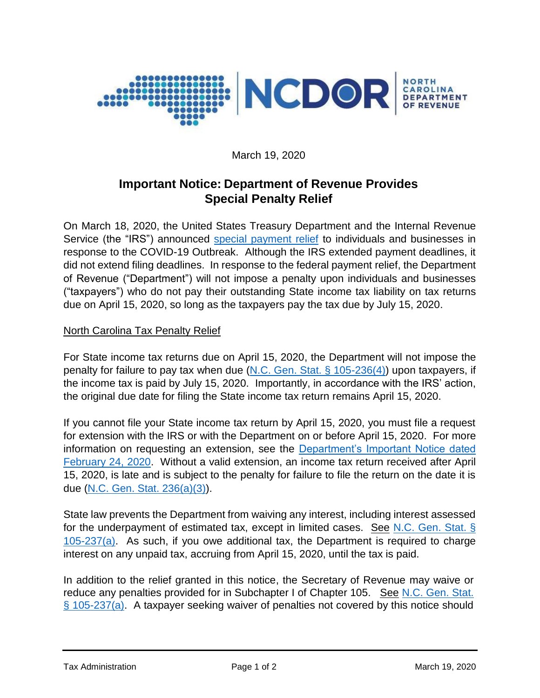

March 19, 2020

## **Important Notice: Department of Revenue Provides Special Penalty Relief**

On March 18, 2020, the United States Treasury Department and the Internal Revenue Service (the "IRS") announced [special payment relief](https://www.irs.gov/pub/irs-drop/n-20-17.pdf) to individuals and businesses in response to the COVID-19 Outbreak. Although the IRS extended payment deadlines, it did not extend filing deadlines. In response to the federal payment relief, the Department of Revenue ("Department") will not impose a penalty upon individuals and businesses ("taxpayers") who do not pay their outstanding State income tax liability on tax returns due on April 15, 2020, so long as the taxpayers pay the tax due by July 15, 2020.

## North Carolina Tax Penalty Relief

For State income tax returns due on April 15, 2020, the Department will not impose the penalty for failure to pay tax when due [\(N.C. Gen. Stat. § 105-236\(4\)\)](https://www.ncleg.gov/EnactedLegislation/Statutes/HTML/BySection/Chapter_105/GS_105-236.html) upon taxpayers, if the income tax is paid by July 15, 2020. Importantly, in accordance with the IRS' action, the original due date for filing the State income tax return remains April 15, 2020.

If you cannot file your State income tax return by April 15, 2020, you must file a request for extension with the IRS or with the Department on or before April 15, 2020. For more information on requesting an extension, see the [Department's Important Notice dated](https://www.ncdor.gov/documents/important-notice-changes-requirements-applying-north-carolina-extension)  [February 24, 2020.](https://www.ncdor.gov/documents/important-notice-changes-requirements-applying-north-carolina-extension) Without a valid extension, an income tax return received after April 15, 2020, is late and is subject to the penalty for failure to file the return on the date it is due [\(N.C. Gen. Stat.](https://www.ncleg.gov/EnactedLegislation/Statutes/HTML/BySection/Chapter_105/GS_105-236.html) 236(a)(3)).

State law prevents the Department from waiving any interest, including interest assessed for the underpayment of estimated tax, except in limited cases. See [N.C. Gen. Stat. §](https://www.ncleg.gov/EnactedLegislation/Statutes/HTML/BySection/Chapter_105/GS_105-237.html)  [105-237\(a\).](https://www.ncleg.gov/EnactedLegislation/Statutes/HTML/BySection/Chapter_105/GS_105-237.html) As such, if you owe additional tax, the Department is required to charge interest on any unpaid tax, accruing from April 15, 2020, until the tax is paid.

In addition to the relief granted in this notice, the Secretary of Revenue may waive or reduce any penalties provided for in Subchapter I of Chapter 105. See [N.C. Gen. Stat.](https://www.ncleg.gov/EnactedLegislation/Statutes/HTML/BySection/Chapter_105/GS_105-237.html)  [§ 105-237\(a\).](https://www.ncleg.gov/EnactedLegislation/Statutes/HTML/BySection/Chapter_105/GS_105-237.html) A taxpayer seeking waiver of penalties not covered by this notice should